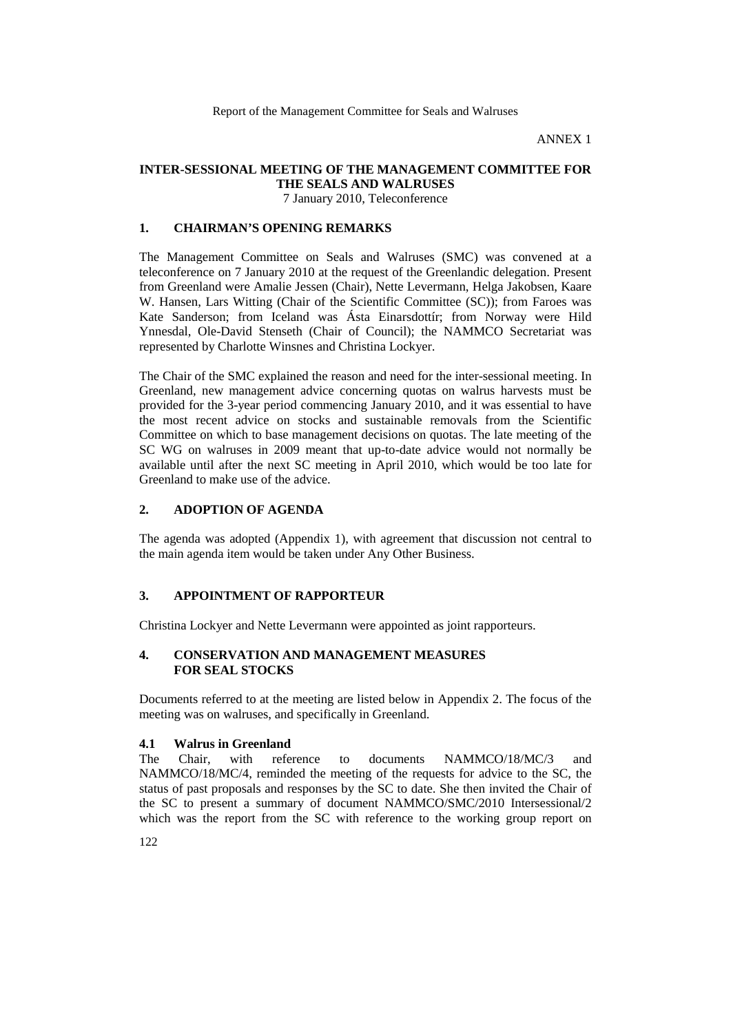ANNEX 1

## **INTER-SESSIONAL MEETING OF THE MANAGEMENT COMMITTEE FOR THE SEALS AND WALRUSES**

7 January 2010, Teleconference

## **1. CHAIRMAN'S OPENING REMARKS**

The Management Committee on Seals and Walruses (SMC) was convened at a teleconference on 7 January 2010 at the request of the Greenlandic delegation. Present from Greenland were Amalie Jessen (Chair), Nette Levermann, Helga Jakobsen, Kaare W. Hansen, Lars Witting (Chair of the Scientific Committee (SC)); from Faroes was Kate Sanderson; from Iceland was Ásta Einarsdottír; from Norway were Hild Ynnesdal, Ole-David Stenseth (Chair of Council); the NAMMCO Secretariat was represented by Charlotte Winsnes and Christina Lockyer.

The Chair of the SMC explained the reason and need for the inter-sessional meeting. In Greenland, new management advice concerning quotas on walrus harvests must be provided for the 3-year period commencing January 2010, and it was essential to have the most recent advice on stocks and sustainable removals from the Scientific Committee on which to base management decisions on quotas. The late meeting of the SC WG on walruses in 2009 meant that up-to-date advice would not normally be available until after the next SC meeting in April 2010, which would be too late for Greenland to make use of the advice.

#### **2. ADOPTION OF AGENDA**

The agenda was adopted (Appendix 1), with agreement that discussion not central to the main agenda item would be taken under Any Other Business.

## **3. APPOINTMENT OF RAPPORTEUR**

Christina Lockyer and Nette Levermann were appointed as joint rapporteurs.

## **4. CONSERVATION AND MANAGEMENT MEASURES FOR SEAL STOCKS**

Documents referred to at the meeting are listed below in Appendix 2. The focus of the meeting was on walruses, and specifically in Greenland.

# **4.1 Walrus in Greenland**

Chair, with reference to documents NAMMCO/18/MC/3 and NAMMCO/18/MC/4, reminded the meeting of the requests for advice to the SC, the status of past proposals and responses by the SC to date. She then invited the Chair of the SC to present a summary of document NAMMCO/SMC/2010 Intersessional/2 which was the report from the SC with reference to the working group report on

122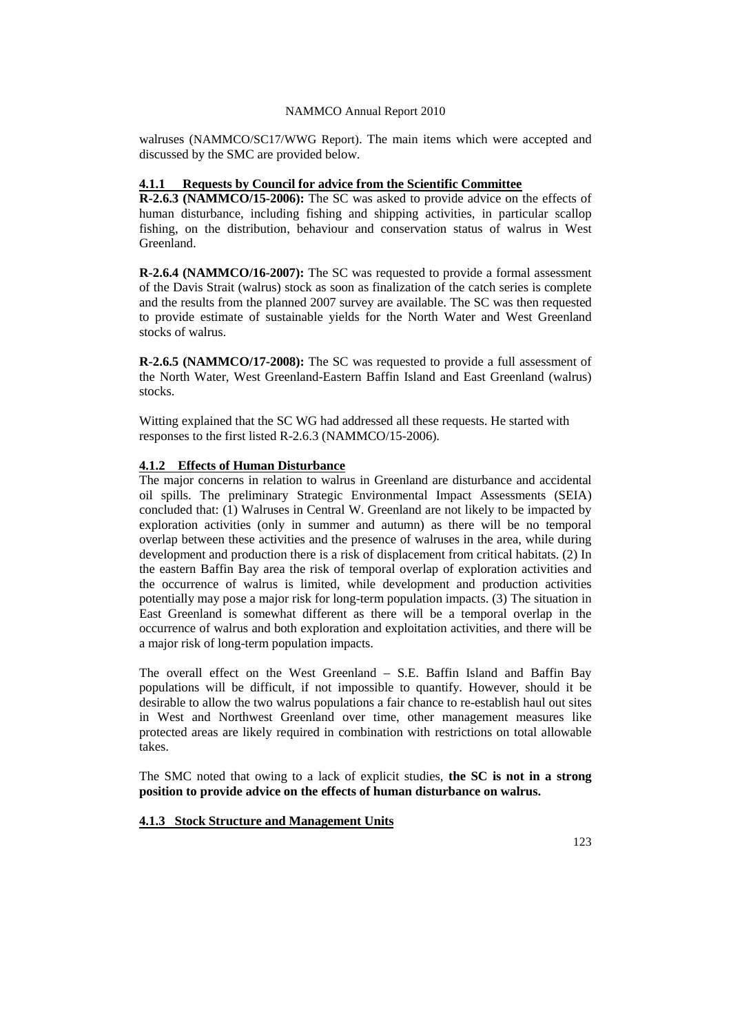#### NAMMCO Annual Report 2010

walruses (NAMMCO/SC17/WWG Report). The main items which were accepted and discussed by the SMC are provided below.

#### **4.1.1 Requests by Council for advice from the Scientific Committee**

**R-2.6.3 (NAMMCO/15-2006):** The SC was asked to provide advice on the effects of human disturbance, including fishing and shipping activities, in particular scallop fishing, on the distribution, behaviour and conservation status of walrus in West Greenland.

**R-2.6.4 (NAMMCO/16-2007):** The SC was requested to provide a formal assessment of the Davis Strait (walrus) stock as soon as finalization of the catch series is complete and the results from the planned 2007 survey are available. The SC was then requested to provide estimate of sustainable yields for the North Water and West Greenland stocks of walrus.

**R-2.6.5 (NAMMCO/17-2008):** The SC was requested to provide a full assessment of the North Water, West Greenland-Eastern Baffin Island and East Greenland (walrus) stocks.

Witting explained that the SC WG had addressed all these requests. He started with responses to the first listed R-2.6.3 (NAMMCO/15-2006).

#### **4.1.2 Effects of Human Disturbance**

The major concerns in relation to walrus in Greenland are disturbance and accidental oil spills. The preliminary Strategic Environmental Impact Assessments (SEIA) concluded that: (1) Walruses in Central W. Greenland are not likely to be impacted by exploration activities (only in summer and autumn) as there will be no temporal overlap between these activities and the presence of walruses in the area, while during development and production there is a risk of displacement from critical habitats. (2) In the eastern Baffin Bay area the risk of temporal overlap of exploration activities and the occurrence of walrus is limited, while development and production activities potentially may pose a major risk for long-term population impacts. (3) The situation in East Greenland is somewhat different as there will be a temporal overlap in the occurrence of walrus and both exploration and exploitation activities, and there will be a major risk of long-term population impacts.

The overall effect on the West Greenland – S.E. Baffin Island and Baffin Bay populations will be difficult, if not impossible to quantify. However, should it be desirable to allow the two walrus populations a fair chance to re-establish haul out sites in West and Northwest Greenland over time, other management measures like protected areas are likely required in combination with restrictions on total allowable takes.

The SMC noted that owing to a lack of explicit studies, **the SC is not in a strong position to provide advice on the effects of human disturbance on walrus.**

#### **4.1.3 Stock Structure and Management Units**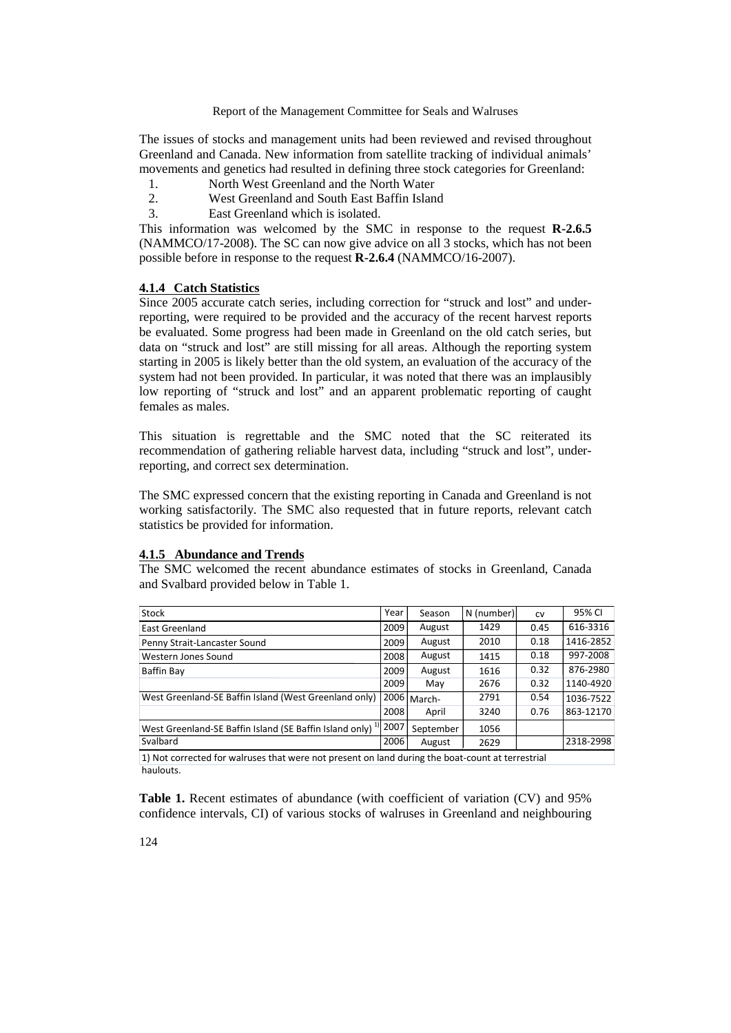Report of the Management Committee for Seals and Walruses

The issues of stocks and management units had been reviewed and revised throughout Greenland and Canada. New information from satellite tracking of individual animals' movements and genetics had resulted in defining three stock categories for Greenland:

- 1. North West Greenland and the North Water<br>2. West Greenland and South East Baffin Islan
- West Greenland and South East Baffin Island
- 3. East Greenland which is isolated.

This information was welcomed by the SMC in response to the request **R-2.6.5**  (NAMMCO/17-2008). The SC can now give advice on all 3 stocks, which has not been possible before in response to the request **R-2.6.4** (NAMMCO/16-2007).

#### **4.1.4 Catch Statistics**

Since 2005 accurate catch series, including correction for "struck and lost" and underreporting, were required to be provided and the accuracy of the recent harvest reports be evaluated. Some progress had been made in Greenland on the old catch series, but data on "struck and lost" are still missing for all areas. Although the reporting system starting in 2005 is likely better than the old system, an evaluation of the accuracy of the system had not been provided. In particular, it was noted that there was an implausibly low reporting of "struck and lost" and an apparent problematic reporting of caught females as males.

This situation is regrettable and the SMC noted that the SC reiterated its recommendation of gathering reliable harvest data, including "struck and lost", underreporting, and correct sex determination.

The SMC expressed concern that the existing reporting in Canada and Greenland is not working satisfactorily. The SMC also requested that in future reports, relevant catch statistics be provided for information.

#### **4.1.5 Abundance and Trends**

The SMC welcomed the recent abundance estimates of stocks in Greenland, Canada and Svalbard provided below in Table 1.

| Stock                                                                                                          | Year | Season      | N (number) | CV   | 95% CI    |  |  |  |
|----------------------------------------------------------------------------------------------------------------|------|-------------|------------|------|-----------|--|--|--|
| East Greenland                                                                                                 | 2009 | August      | 1429       | 0.45 | 616-3316  |  |  |  |
| Penny Strait-Lancaster Sound                                                                                   | 2009 | August      | 2010       | 0.18 | 1416-2852 |  |  |  |
| Western Jones Sound                                                                                            | 2008 | August      | 1415       | 0.18 | 997-2008  |  |  |  |
| Baffin Bay                                                                                                     | 2009 | August      | 1616       | 0.32 | 876-2980  |  |  |  |
|                                                                                                                | 2009 | May         | 2676       | 0.32 | 1140-4920 |  |  |  |
| West Greenland-SE Baffin Island (West Greenland only)                                                          |      | 2006 March- | 2791       | 0.54 | 1036-7522 |  |  |  |
|                                                                                                                | 2008 | April       | 3240       | 0.76 | 863-12170 |  |  |  |
| West Greenland-SE Baffin Island (SE Baffin Island only) <sup>1)</sup> 2007                                     |      | September   | 1056       |      |           |  |  |  |
| Svalbard                                                                                                       | 2006 | August      | 2629       |      | 2318-2998 |  |  |  |
| 4 ). Alak da shekarar 12 da masu kuma a kasa masa masa da kasar da shekara a kasar da masa da kasa da kali kat |      |             |            |      |           |  |  |  |

1) Not corrected for walruses that were not present on land during the boat-count at terrestrial haulouts.

**Table 1.** Recent estimates of abundance (with coefficient of variation (CV) and 95% confidence intervals, CI) of various stocks of walruses in Greenland and neighbouring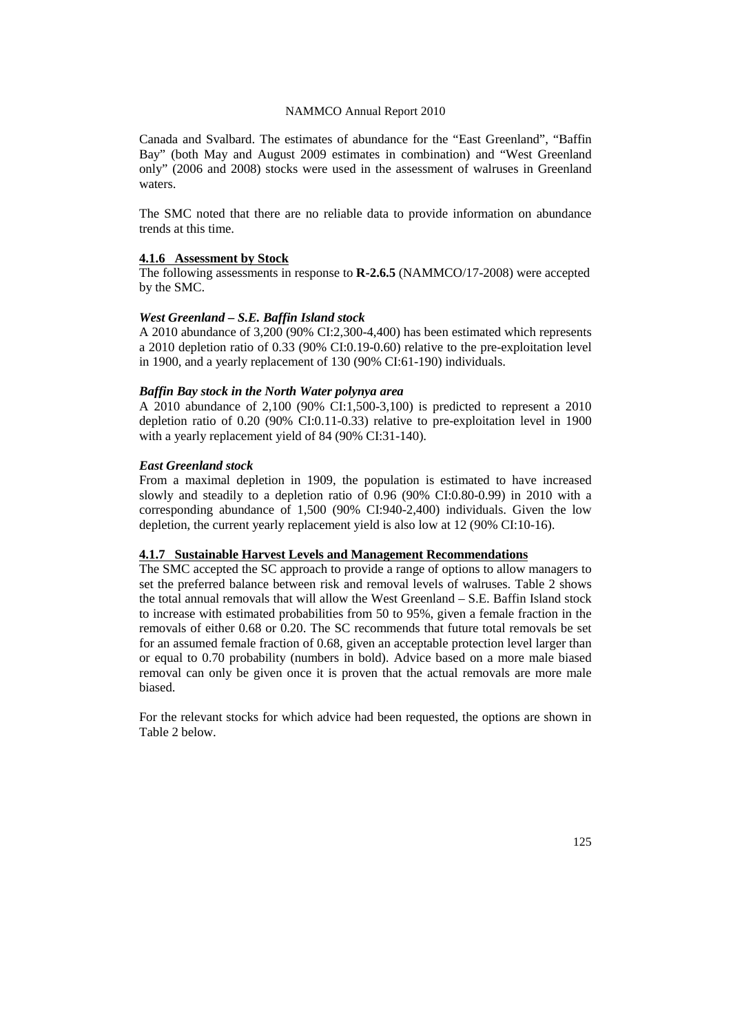#### NAMMCO Annual Report 2010

Canada and Svalbard. The estimates of abundance for the "East Greenland", "Baffin Bay" (both May and August 2009 estimates in combination) and "West Greenland only" (2006 and 2008) stocks were used in the assessment of walruses in Greenland waters.

The SMC noted that there are no reliable data to provide information on abundance trends at this time.

#### **4.1.6 Assessment by Stock**

The following assessments in response to **R-2.6.5** (NAMMCO/17-2008) were accepted by the SMC.

#### *West Greenland – S.E. Baffin Island stock*

A 2010 abundance of 3,200 (90% CI:2,300-4,400) has been estimated which represents a 2010 depletion ratio of 0.33 (90% CI:0.19-0.60) relative to the pre-exploitation level in 1900, and a yearly replacement of 130 (90% CI:61-190) individuals.

#### *Baffin Bay stock in the North Water polynya area*

A 2010 abundance of 2,100 (90% CI:1,500-3,100) is predicted to represent a 2010 depletion ratio of 0.20 (90% CI:0.11-0.33) relative to pre-exploitation level in 1900 with a yearly replacement yield of 84 (90% CI:31-140).

#### *East Greenland stock*

From a maximal depletion in 1909, the population is estimated to have increased slowly and steadily to a depletion ratio of 0.96 (90% CI:0.80-0.99) in 2010 with a corresponding abundance of 1,500 (90% CI:940-2,400) individuals. Given the low depletion, the current yearly replacement yield is also low at 12 (90% CI:10-16).

#### **4.1.7 Sustainable Harvest Levels and Management Recommendations**

The SMC accepted the SC approach to provide a range of options to allow managers to set the preferred balance between risk and removal levels of walruses. Table 2 shows the total annual removals that will allow the West Greenland – S.E. Baffin Island stock to increase with estimated probabilities from 50 to 95%, given a female fraction in the removals of either 0.68 or 0.20. The SC recommends that future total removals be set for an assumed female fraction of 0.68, given an acceptable protection level larger than or equal to 0.70 probability (numbers in bold). Advice based on a more male biased removal can only be given once it is proven that the actual removals are more male biased.

For the relevant stocks for which advice had been requested, the options are shown in Table 2 below.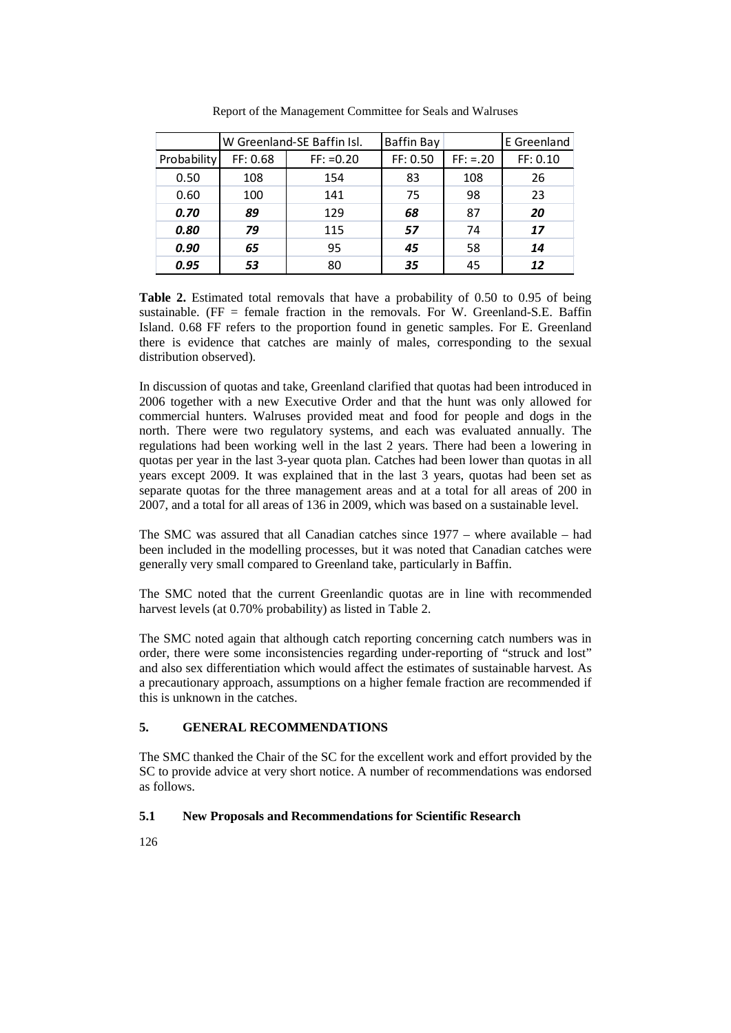|                    | W Greenland-SE Baffin Isl. |              | <b>Baffin Bay</b> |             | E Greenland |
|--------------------|----------------------------|--------------|-------------------|-------------|-------------|
| <b>Probability</b> | FF: 0.68                   | $FF: = 0.20$ | FF: 0.50          | $FF: = .20$ | FF: 0.10    |
| 0.50               | 108                        | 154          | 83                | 108         | 26          |
| 0.60               | 100                        | 141          | 75                | 98          | 23          |
| 0.70               | 89                         | 129          | 68                | 87          | 20          |
| 0.80               | 79                         | 115          | 57                | 74          | 17          |
| 0.90               | 65                         | 95           | 45                | 58          | 14          |
| 0.95               | 53                         | 80           | 35                | 45          | 12          |

Report of the Management Committee for Seals and Walruses

**Table 2.** Estimated total removals that have a probability of 0.50 to 0.95 of being sustainable. (FF = female fraction in the removals. For W. Greenland-S.E. Baffin Island. 0.68 FF refers to the proportion found in genetic samples. For E. Greenland there is evidence that catches are mainly of males, corresponding to the sexual distribution observed).

In discussion of quotas and take, Greenland clarified that quotas had been introduced in 2006 together with a new Executive Order and that the hunt was only allowed for commercial hunters. Walruses provided meat and food for people and dogs in the north. There were two regulatory systems, and each was evaluated annually. The regulations had been working well in the last 2 years. There had been a lowering in quotas per year in the last 3-year quota plan. Catches had been lower than quotas in all years except 2009. It was explained that in the last 3 years, quotas had been set as separate quotas for the three management areas and at a total for all areas of 200 in 2007, and a total for all areas of 136 in 2009, which was based on a sustainable level.

The SMC was assured that all Canadian catches since 1977 – where available – had been included in the modelling processes, but it was noted that Canadian catches were generally very small compared to Greenland take, particularly in Baffin.

The SMC noted that the current Greenlandic quotas are in line with recommended harvest levels (at 0.70% probability) as listed in Table 2.

The SMC noted again that although catch reporting concerning catch numbers was in order, there were some inconsistencies regarding under-reporting of "struck and lost" and also sex differentiation which would affect the estimates of sustainable harvest. As a precautionary approach, assumptions on a higher female fraction are recommended if this is unknown in the catches.

# **5. GENERAL RECOMMENDATIONS**

The SMC thanked the Chair of the SC for the excellent work and effort provided by the SC to provide advice at very short notice. A number of recommendations was endorsed as follows.

## **5.1 New Proposals and Recommendations for Scientific Research**

126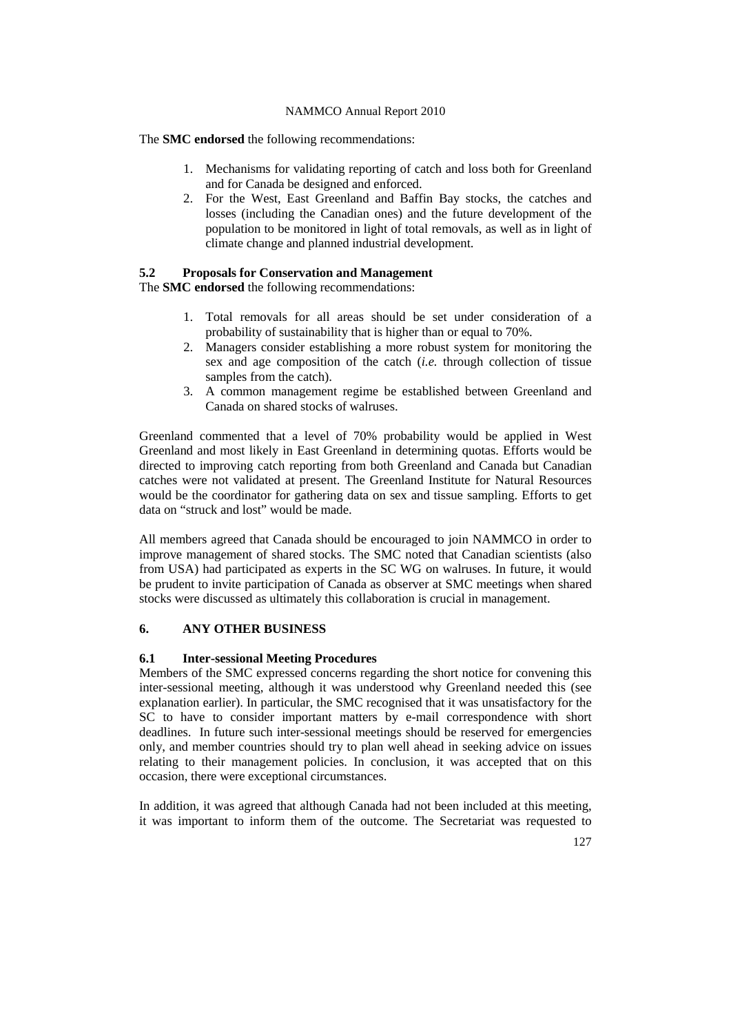## NAMMCO Annual Report 2010

The **SMC endorsed** the following recommendations:

- 1. Mechanisms for validating reporting of catch and loss both for Greenland and for Canada be designed and enforced.
- 2. For the West, East Greenland and Baffin Bay stocks, the catches and losses (including the Canadian ones) and the future development of the population to be monitored in light of total removals, as well as in light of climate change and planned industrial development.

## **5.2 Proposals for Conservation and Management**

The **SMC endorsed** the following recommendations:

- 1. Total removals for all areas should be set under consideration of a probability of sustainability that is higher than or equal to 70%.
- 2. Managers consider establishing a more robust system for monitoring the sex and age composition of the catch (*i.e.* through collection of tissue samples from the catch).
- 3. A common management regime be established between Greenland and Canada on shared stocks of walruses.

Greenland commented that a level of 70% probability would be applied in West Greenland and most likely in East Greenland in determining quotas. Efforts would be directed to improving catch reporting from both Greenland and Canada but Canadian catches were not validated at present. The Greenland Institute for Natural Resources would be the coordinator for gathering data on sex and tissue sampling. Efforts to get data on "struck and lost" would be made.

All members agreed that Canada should be encouraged to join NAMMCO in order to improve management of shared stocks. The SMC noted that Canadian scientists (also from USA) had participated as experts in the SC WG on walruses. In future, it would be prudent to invite participation of Canada as observer at SMC meetings when shared stocks were discussed as ultimately this collaboration is crucial in management.

## **6. ANY OTHER BUSINESS**

## **6.1 Inter-sessional Meeting Procedures**

Members of the SMC expressed concerns regarding the short notice for convening this inter-sessional meeting, although it was understood why Greenland needed this (see explanation earlier). In particular, the SMC recognised that it was unsatisfactory for the SC to have to consider important matters by e-mail correspondence with short deadlines. In future such inter-sessional meetings should be reserved for emergencies only, and member countries should try to plan well ahead in seeking advice on issues relating to their management policies. In conclusion, it was accepted that on this occasion, there were exceptional circumstances.

In addition, it was agreed that although Canada had not been included at this meeting, it was important to inform them of the outcome. The Secretariat was requested to